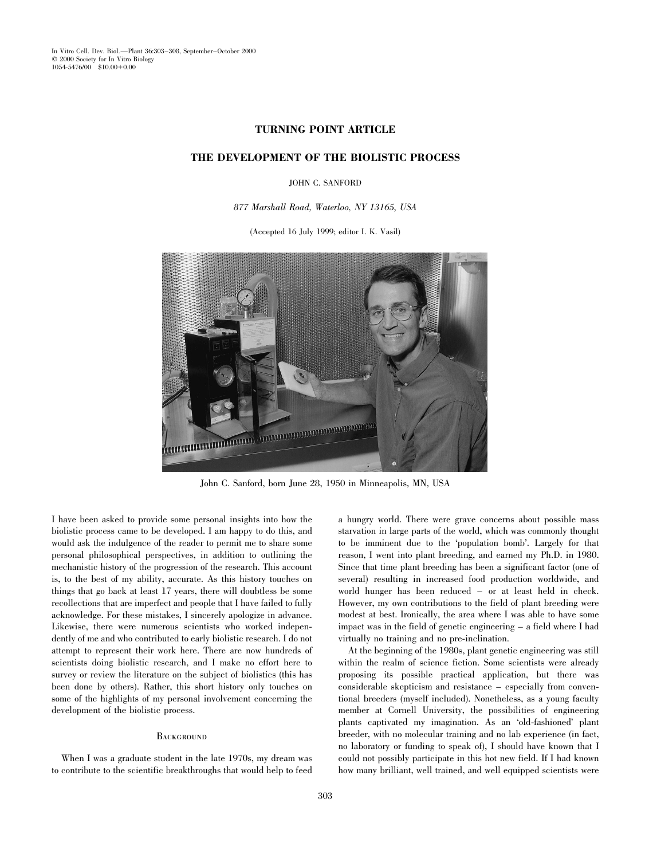## TURNING POINT ARTICLE

# THE DEVELOPMENT OF THE BIOLISTIC PROCESS

JOHN C. SANFORD

877 Marshall Road, Waterloo, NY 13165, USA

(Accepted 16 July 1999; editor I. K. Vasil)



John C. Sanford, born June 28, 1950 in Minneapolis, MN, USA

I have been asked to provide some personal insights into how the biolistic process came to be developed. I am happy to do this, and would ask the indulgence of the reader to permit me to share some personal philosophical perspectives, in addition to outlining the mechanistic history of the progression of the research. This account is, to the best of my ability, accurate. As this history touches on things that go back at least 17 years, there will doubtless be some recollections that are imperfect and people that I have failed to fully acknowledge. For these mistakes, I sincerely apologize in advance. Likewise, there were numerous scientists who worked independently of me and who contributed to early biolistic research. I do not attempt to represent their work here. There are now hundreds of scientists doing biolistic research, and I make no effort here to survey or review the literature on the subject of biolistics (this has been done by others). Rather, this short history only touches on some of the highlights of my personal involvement concerning the development of the biolistic process.

#### **BACKGROUND**

When I was a graduate student in the late 1970s, my dream was to contribute to the scientific breakthroughs that would help to feed a hungry world. There were grave concerns about possible mass starvation in large parts of the world, which was commonly thought to be imminent due to the `population bomb'. Largely for that reason, I went into plant breeding, and earned my Ph.D. in 1980. Since that time plant breeding has been a significant factor (one of several) resulting in increased food production worldwide, and world hunger has been reduced - or at least held in check. However, my own contributions to the field of plant breeding were modest at best. Ironically, the area where I was able to have some impact was in the field of genetic engineering  $-$  a field where I had virtually no training and no pre-inclination.

At the beginning of the 1980s, plant genetic engineering was still within the realm of science fiction. Some scientists were already proposing its possible practical application, but there was considerable skepticism and resistance - especially from conventional breeders (myself included). Nonetheless, as a young faculty member at Cornell University, the possibilities of engineering plants captivated my imagination. As an `old-fashioned' plant breeder, with no molecular training and no lab experience (in fact, no laboratory or funding to speak of), I should have known that I could not possibly participate in this hot new field. If I had known how many brilliant, well trained, and well equipped scientists were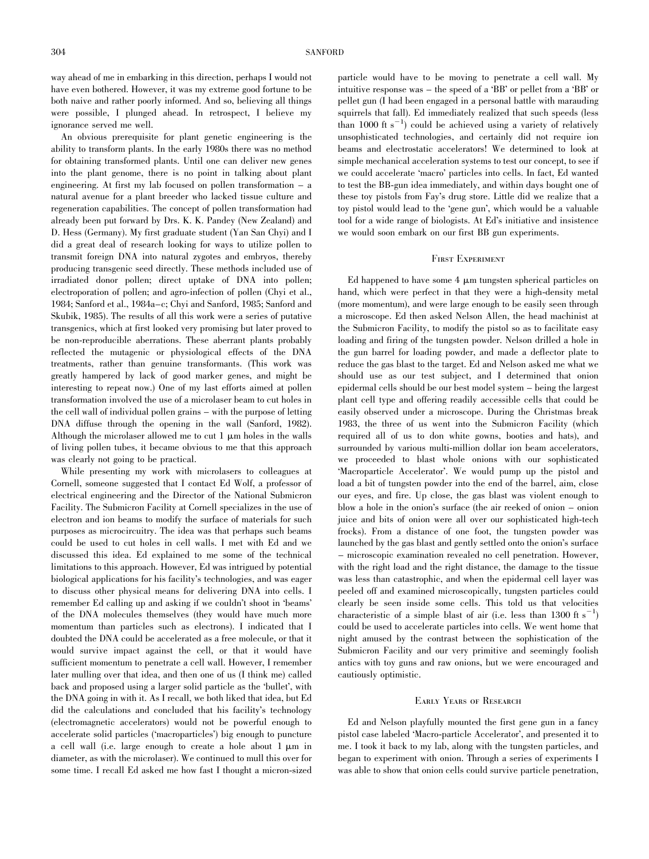way ahead of me in embarking in this direction, perhaps I would not have even bothered. However, it was my extreme good fortune to be both naive and rather poorly informed. And so, believing all things were possible, I plunged ahead. In retrospect, I believe my ignorance served me well.

An obvious prerequisite for plant genetic engineering is the ability to transform plants. In the early 1980s there was no method for obtaining transformed plants. Until one can deliver new genes into the plant genome, there is no point in talking about plant engineering. At first my lab focused on pollen transformation  $-$  a natural avenue for a plant breeder who lacked tissue culture and regeneration capabilities. The concept of pollen transformation had already been put forward by Drs. K. K. Pandey (New Zealand) and D. Hess (Germany). My first graduate student (Yan San Chyi) and I did a great deal of research looking for ways to utilize pollen to transmit foreign DNA into natural zygotes and embryos, thereby producing transgenic seed directly. These methods included use of irradiated donor pollen; direct uptake of DNA into pollen; electroporation of pollen; and agro-infection of pollen (Chyi et al., 1984; Sanford et al., 1984a-c; Chyi and Sanford, 1985; Sanford and Skubik, 1985). The results of all this work were a series of putative transgenics, which at first looked very promising but later proved to be non-reproducible aberrations. These aberrant plants probably reflected the mutagenic or physiological effects of the DNA treatments, rather than genuine transformants. (This work was greatly hampered by lack of good marker genes, and might be interesting to repeat now.) One of my last efforts aimed at pollen transformation involved the use of a microlaser beam to cut holes in the cell wall of individual pollen grains – with the purpose of letting DNA diffuse through the opening in the wall (Sanford, 1982). Although the microlaser allowed me to cut  $1 \mu m$  holes in the walls of living pollen tubes, it became obvious to me that this approach was clearly not going to be practical.

While presenting my work with microlasers to colleagues at Cornell, someone suggested that I contact Ed Wolf, a professor of electrical engineering and the Director of the National Submicron Facility. The Submicron Facility at Cornell specializes in the use of electron and ion beams to modify the surface of materials for such purposes as microcircuitry. The idea was that perhaps such beams could be used to cut holes in cell walls. I met with Ed and we discussed this idea. Ed explained to me some of the technical limitations to this approach. However, Ed was intrigued by potential biological applications for his facility's technologies, and was eager to discuss other physical means for delivering DNA into cells. I remember Ed calling up and asking if we couldn't shoot in `beams' of the DNA molecules themselves (they would have much more momentum than particles such as electrons). I indicated that I doubted the DNA could be accelerated as a free molecule, or that it would survive impact against the cell, or that it would have sufficient momentum to penetrate a cell wall. However, I remember later mulling over that idea, and then one of us (I think me) called back and proposed using a larger solid particle as the `bullet', with the DNA going in with it. As I recall, we both liked that idea, but Ed did the calculations and concluded that his facility's technology (electromagnetic accelerators) would not be powerful enough to accelerate solid particles (`macroparticles') big enough to puncture a cell wall (i.e. large enough to create a hole about  $1 \mu m$  in diameter, as with the microlaser). We continued to mull this over for some time. I recall Ed asked me how fast I thought a micron-sized

particle would have to be moving to penetrate a cell wall. My intuitive response was  $-$  the speed of a 'BB' or pellet from a 'BB' or pellet gun (I had been engaged in a personal battle with marauding squirrels that fall). Ed immediately realized that such speeds (less than 1000 ft  $s^{-1}$ ) could be achieved using a variety of relatively unsophisticated technologies, and certainly did not require ion beams and electrostatic accelerators! We determined to look at simple mechanical acceleration systems to test our concept, to see if we could accelerate `macro' particles into cells. In fact, Ed wanted to test the BB-gun idea immediately, and within days bought one of these toy pistols from Fay's drug store. Little did we realize that a toy pistol would lead to the `gene gun', which would be a valuable tool for a wide range of biologists. At Ed's initiative and insistence we would soon embark on our first BB gun experiments.

### First Experiment

Ed happened to have some  $4 \mu m$  tungsten spherical particles on hand, which were perfect in that they were a high-density metal (more momentum), and were large enough to be easily seen through a microscope. Ed then asked Nelson Allen, the head machinist at the Submicron Facility, to modify the pistol so as to facilitate easy loading and firing of the tungsten powder. Nelson drilled a hole in the gun barrel for loading powder, and made a deflector plate to reduce the gas blast to the target. Ed and Nelson asked me what we should use as our test subject, and I determined that onion epidermal cells should be our best model system  $-$  being the largest plant cell type and offering readily accessible cells that could be easily observed under a microscope. During the Christmas break 1983, the three of us went into the Submicron Facility (which required all of us to don white gowns, booties and hats), and surrounded by various multi-million dollar ion beam accelerators, we proceeded to blast whole onions with our sophisticated `Macroparticle Accelerator'. We would pump up the pistol and load a bit of tungsten powder into the end of the barrel, aim, close our eyes, and fire. Up close, the gas blast was violent enough to blow a hole in the onion's surface (the air reeked of onion - onion juice and bits of onion were all over our sophisticated high-tech frocks). From a distance of one foot, the tungsten powder was launched by the gas blast and gently settled onto the onion's surface ± microscopic examination revealed no cell penetration. However, with the right load and the right distance, the damage to the tissue was less than catastrophic, and when the epidermal cell layer was peeled off and examined microscopically, tungsten particles could clearly be seen inside some cells. This told us that velocities characteristic of a simple blast of air (i.e. less than  $1300 \text{ ft s}^{-1}$ ) could be used to accelerate particles into cells. We went home that night amused by the contrast between the sophistication of the Submicron Facility and our very primitive and seemingly foolish antics with toy guns and raw onions, but we were encouraged and cautiously optimistic.

#### Early Years of Research

Ed and Nelson playfully mounted the first gene gun in a fancy pistol case labeled `Macro-particle Accelerator', and presented it to me. I took it back to my lab, along with the tungsten particles, and began to experiment with onion. Through a series of experiments I was able to show that onion cells could survive particle penetration,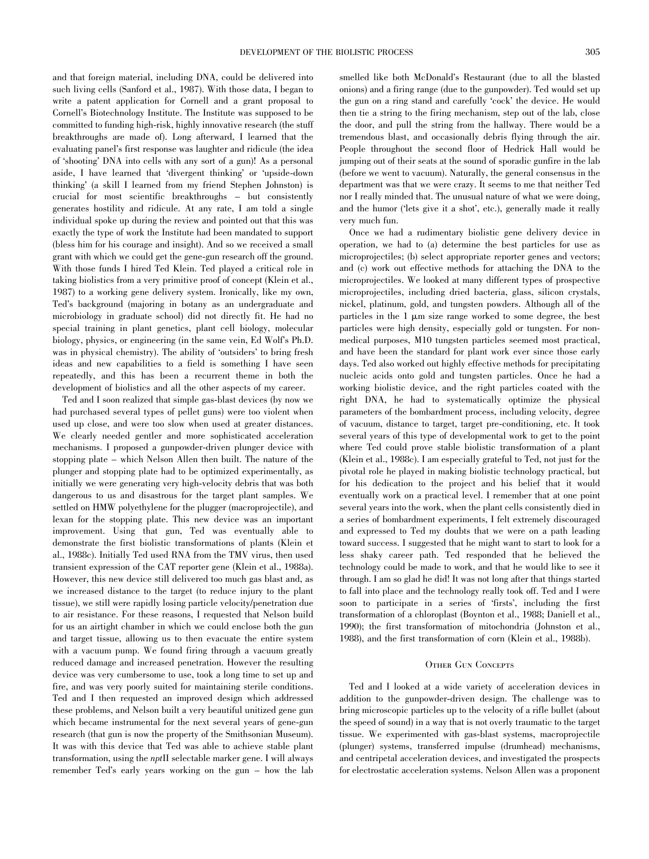and that foreign material, including DNA, could be delivered into such living cells (Sanford et al., 1987). With those data, I began to write a patent application for Cornell and a grant proposal to Cornell's Biotechnology Institute. The Institute was supposed to be committed to funding high-risk, highly innovative research (the stuff breakthroughs are made of). Long afterward, I learned that the evaluating panel's first response was laughter and ridicule (the idea of `shooting' DNA into cells with any sort of a gun)! As a personal aside, I have learned that `divergent thinking' or `upside-down thinking' (a skill I learned from my friend Stephen Johnston) is crucial for most scientific breakthroughs  $-$  but consistently generates hostility and ridicule. At any rate, I am told a single individual spoke up during the review and pointed out that this was exactly the type of work the Institute had been mandated to support (bless him for his courage and insight). And so we received a small grant with which we could get the gene-gun research off the ground. With those funds I hired Ted Klein. Ted played a critical role in taking biolistics from a very primitive proof of concept (Klein et al., 1987) to a working gene delivery system. Ironically, like my own, Ted's background (majoring in botany as an undergraduate and microbiology in graduate school) did not directly fit. He had no special training in plant genetics, plant cell biology, molecular biology, physics, or engineering (in the same vein, Ed Wolf's Ph.D. was in physical chemistry). The ability of 'outsiders' to bring fresh ideas and new capabilities to a field is something I have seen repeatedly, and this has been a recurrent theme in both the development of biolistics and all the other aspects of my career.

Ted and I soon realized that simple gas-blast devices (by now we had purchased several types of pellet guns) were too violent when used up close, and were too slow when used at greater distances. We clearly needed gentler and more sophisticated acceleration mechanisms. I proposed a gunpowder-driven plunger device with stopping plate - which Nelson Allen then built. The nature of the plunger and stopping plate had to be optimized experimentally, as initially we were generating very high-velocity debris that was both dangerous to us and disastrous for the target plant samples. We settled on HMW polyethylene for the plugger (macroprojectile), and lexan for the stopping plate. This new device was an important improvement. Using that gun, Ted was eventually able to demonstrate the first biolistic transformations of plants (Klein et al., 1988c). Initially Ted used RNA from the TMV virus, then used transient expression of the CAT reporter gene (Klein et al., 1988a). However, this new device still delivered too much gas blast and, as we increased distance to the target (to reduce injury to the plant tissue), we still were rapidly losing particle velocity/penetration due to air resistance. For these reasons, I requested that Nelson build for us an airtight chamber in which we could enclose both the gun and target tissue, allowing us to then evacuate the entire system with a vacuum pump. We found firing through a vacuum greatly reduced damage and increased penetration. However the resulting device was very cumbersome to use, took a long time to set up and fire, and was very poorly suited for maintaining sterile conditions. Ted and I then requested an improved design which addressed these problems, and Nelson built a very beautiful unitized gene gun which became instrumental for the next several years of gene-gun research (that gun is now the property of the Smithsonian Museum). It was with this device that Ted was able to achieve stable plant transformation, using the nptII selectable marker gene. I will always remember Ted's early years working on the gun – how the lab smelled like both McDonald's Restaurant (due to all the blasted onions) and a firing range (due to the gunpowder). Ted would set up the gun on a ring stand and carefully 'cock' the device. He would then tie a string to the firing mechanism, step out of the lab, close the door, and pull the string from the hallway. There would be a tremendous blast, and occasionally debris flying through the air. People throughout the second floor of Hedrick Hall would be jumping out of their seats at the sound of sporadic gunfire in the lab (before we went to vacuum). Naturally, the general consensus in the department was that we were crazy. It seems to me that neither Ted nor I really minded that. The unusual nature of what we were doing, and the humor ('lets give it a shot', etc.), generally made it really very much fun.

Once we had a rudimentary biolistic gene delivery device in operation, we had to (a) determine the best particles for use as microprojectiles; (b) select appropriate reporter genes and vectors; and (c) work out effective methods for attaching the DNA to the microprojectiles. We looked at many different types of prospective microprojectiles, including dried bacteria, glass, silicon crystals, nickel, platinum, gold, and tungsten powders. Although all of the particles in the  $1 \mu m$  size range worked to some degree, the best particles were high density, especially gold or tungsten. For nonmedical purposes, M10 tungsten particles seemed most practical, and have been the standard for plant work ever since those early days. Ted also worked out highly effective methods for precipitating nucleic acids onto gold and tungsten particles. Once he had a working biolistic device, and the right particles coated with the right DNA, he had to systematically optimize the physical parameters of the bombardment process, including velocity, degree of vacuum, distance to target, target pre-conditioning, etc. It took several years of this type of developmental work to get to the point where Ted could prove stable biolistic transformation of a plant (Klein et al., 1988c). I am especially grateful to Ted, not just for the pivotal role he played in making biolistic technology practical, but for his dedication to the project and his belief that it would eventually work on a practical level. I remember that at one point several years into the work, when the plant cells consistently died in a series of bombardment experiments, I felt extremely discouraged and expressed to Ted my doubts that we were on a path leading toward success. I suggested that he might want to start to look for a less shaky career path. Ted responded that he believed the technology could be made to work, and that he would like to see it through. I am so glad he did! It was not long after that things started to fall into place and the technology really took off. Ted and I were soon to participate in a series of 'firsts', including the first transformation of a chloroplast (Boynton et al., 1988; Daniell et al., 1990); the first transformation of mitochondria (Johnston et al., 1988), and the first transformation of corn (Klein et al., 1988b).

### Other Gun Concepts

Ted and I looked at a wide variety of acceleration devices in addition to the gunpowder-driven design. The challenge was to bring microscopic particles up to the velocity of a rifle bullet (about the speed of sound) in a way that is not overly traumatic to the target tissue. We experimented with gas-blast systems, macroprojectile (plunger) systems, transferred impulse (drumhead) mechanisms, and centripetal acceleration devices, and investigated the prospects for electrostatic acceleration systems. Nelson Allen was a proponent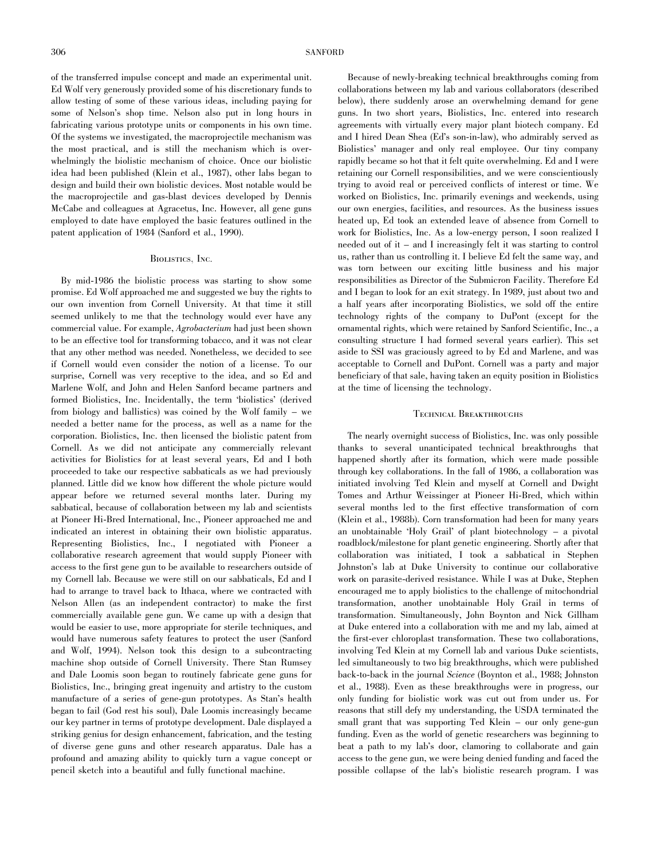of the transferred impulse concept and made an experimental unit. Ed Wolf very generously provided some of his discretionary funds to allow testing of some of these various ideas, including paying for some of Nelson's shop time. Nelson also put in long hours in fabricating various prototype units or components in his own time. Of the systems we investigated, the macroprojectile mechanism was the most practical, and is still the mechanism which is overwhelmingly the biolistic mechanism of choice. Once our biolistic idea had been published (Klein et al., 1987), other labs began to design and build their own biolistic devices. Most notable would be the macroprojectile and gas-blast devices developed by Dennis McCabe and colleagues at Agracetus, Inc. However, all gene guns employed to date have employed the basic features outlined in the patent application of 1984 (Sanford et al., 1990).

## BIOLISTICS, INC.

By mid-1986 the biolistic process was starting to show some promise. Ed Wolf approached me and suggested we buy the rights to our own invention from Cornell University. At that time it still seemed unlikely to me that the technology would ever have any commercial value. For example, Agrobacterium had just been shown to be an effective tool for transforming tobacco, and it was not clear that any other method was needed. Nonetheless, we decided to see if Cornell would even consider the notion of a license. To our surprise, Cornell was very receptive to the idea, and so Ed and Marlene Wolf, and John and Helen Sanford became partners and formed Biolistics, Inc. Incidentally, the term `biolistics' (derived from biology and ballistics) was coined by the Wolf family  $-$  we needed a better name for the process, as well as a name for the corporation. Biolistics, Inc. then licensed the biolistic patent from Cornell. As we did not anticipate any commercially relevant activities for Biolistics for at least several years, Ed and I both proceeded to take our respective sabbaticals as we had previously planned. Little did we know how different the whole picture would appear before we returned several months later. During my sabbatical, because of collaboration between my lab and scientists at Pioneer Hi-Bred International, Inc., Pioneer approached me and indicated an interest in obtaining their own biolistic apparatus. Representing Biolistics, Inc., I negotiated with Pioneer a collaborative research agreement that would supply Pioneer with access to the first gene gun to be available to researchers outside of my Cornell lab. Because we were still on our sabbaticals, Ed and I had to arrange to travel back to Ithaca, where we contracted with Nelson Allen (as an independent contractor) to make the first commercially available gene gun. We came up with a design that would be easier to use, more appropriate for sterile techniques, and would have numerous safety features to protect the user (Sanford and Wolf, 1994). Nelson took this design to a subcontracting machine shop outside of Cornell University. There Stan Rumsey and Dale Loomis soon began to routinely fabricate gene guns for Biolistics, Inc., bringing great ingenuity and artistry to the custom manufacture of a series of gene-gun prototypes. As Stan's health began to fail (God rest his soul), Dale Loomis increasingly became our key partner in terms of prototype development. Dale displayed a striking genius for design enhancement, fabrication, and the testing of diverse gene guns and other research apparatus. Dale has a profound and amazing ability to quickly turn a vague concept or pencil sketch into a beautiful and fully functional machine.

Because of newly-breaking technical breakthroughs coming from collaborations between my lab and various collaborators (described below), there suddenly arose an overwhelming demand for gene guns. In two short years, Biolistics, Inc. entered into research agreements with virtually every major plant biotech company. Ed and I hired Dean Shea (Ed's son-in-law), who admirably served as Biolistics' manager and only real employee. Our tiny company rapidly became so hot that it felt quite overwhelming. Ed and I were retaining our Cornell responsibilities, and we were conscientiously trying to avoid real or perceived conflicts of interest or time. We worked on Biolistics, Inc. primarily evenings and weekends, using our own energies, facilities, and resources. As the business issues heated up, Ed took an extended leave of absence from Cornell to work for Biolistics, Inc. As a low-energy person, I soon realized I needed out of it - and I increasingly felt it was starting to control us, rather than us controlling it. I believe Ed felt the same way, and was torn between our exciting little business and his major responsibilities as Director of the Submicron Facility. Therefore Ed and I began to look for an exit strategy. In 1989, just about two and a half years after incorporating Biolistics, we sold off the entire technology rights of the company to DuPont (except for the ornamental rights, which were retained by Sanford Scientific, Inc., a consulting structure I had formed several years earlier). This set aside to SSI was graciously agreed to by Ed and Marlene, and was acceptable to Cornell and DuPont. Cornell was a party and major beneficiary of that sale, having taken an equity position in Biolistics at the time of licensing the technology.

## Technical Breakthroughs

The nearly overnight success of Biolistics, Inc. was only possible thanks to several unanticipated technical breakthroughs that happened shortly after its formation, which were made possible through key collaborations. In the fall of 1986, a collaboration was initiated involving Ted Klein and myself at Cornell and Dwight Tomes and Arthur Weissinger at Pioneer Hi-Bred, which within several months led to the first effective transformation of corn (Klein et al., 1988b). Corn transformation had been for many years an unobtainable 'Holy Grail' of plant biotechnology  $-$  a pivotal roadblock/milestone for plant genetic engineering. Shortly after that collaboration was initiated, I took a sabbatical in Stephen Johnston's lab at Duke University to continue our collaborative work on parasite-derived resistance. While I was at Duke, Stephen encouraged me to apply biolistics to the challenge of mitochondrial transformation, another unobtainable Holy Grail in terms of transformation. Simultaneously, John Boynton and Nick Gillham at Duke entered into a collaboration with me and my lab, aimed at the first-ever chloroplast transformation. These two collaborations, involving Ted Klein at my Cornell lab and various Duke scientists, led simultaneously to two big breakthroughs, which were published back-to-back in the journal Science (Boynton et al., 1988; Johnston et al., 1988). Even as these breakthroughs were in progress, our only funding for biolistic work was cut out from under us. For reasons that still defy my understanding, the USDA terminated the small grant that was supporting  $Ted$  Klein  $-$  our only gene-gun funding. Even as the world of genetic researchers was beginning to beat a path to my lab's door, clamoring to collaborate and gain access to the gene gun, we were being denied funding and faced the possible collapse of the lab's biolistic research program. I was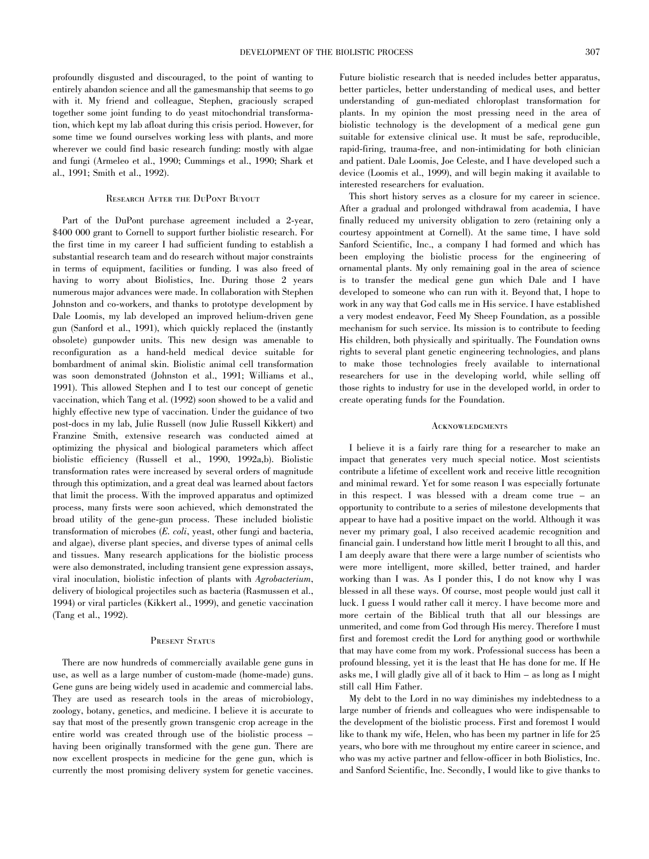profoundly disgusted and discouraged, to the point of wanting to entirely abandon science and all the gamesmanship that seems to go with it. My friend and colleague, Stephen, graciously scraped together some joint funding to do yeast mitochondrial transformation, which kept my lab afloat during this crisis period. However, for some time we found ourselves working less with plants, and more wherever we could find basic research funding: mostly with algae and fungi (Armeleo et al., 1990; Cummings et al., 1990; Shark et al., 1991; Smith et al., 1992).

### Research After the DuPont Buyout

Part of the DuPont purchase agreement included a 2-year, \$400 000 grant to Cornell to support further biolistic research. For the first time in my career I had sufficient funding to establish a substantial research team and do research without major constraints in terms of equipment, facilities or funding. I was also freed of having to worry about Biolistics, Inc. During those 2 years numerous major advances were made. In collaboration with Stephen Johnston and co-workers, and thanks to prototype development by Dale Loomis, my lab developed an improved helium-driven gene gun (Sanford et al., 1991), which quickly replaced the (instantly obsolete) gunpowder units. This new design was amenable to reconfiguration as a hand-held medical device suitable for bombardment of animal skin. Biolistic animal cell transformation was soon demonstrated (Johnston et al., 1991; Williams et al., 1991). This allowed Stephen and I to test our concept of genetic vaccination, which Tang et al. (1992) soon showed to be a valid and highly effective new type of vaccination. Under the guidance of two post-docs in my lab, Julie Russell (now Julie Russell Kikkert) and Franzine Smith, extensive research was conducted aimed at optimizing the physical and biological parameters which affect biolistic efficiency (Russell et al., 1990, 1992a,b). Biolistic transformation rates were increased by several orders of magnitude through this optimization, and a great deal was learned about factors that limit the process. With the improved apparatus and optimized process, many firsts were soon achieved, which demonstrated the broad utility of the gene-gun process. These included biolistic transformation of microbes (E. coli, yeast, other fungi and bacteria, and algae), diverse plant species, and diverse types of animal cells and tissues. Many research applications for the biolistic process were also demonstrated, including transient gene expression assays, viral inoculation, biolistic infection of plants with Agrobacterium, delivery of biological projectiles such as bacteria (Rasmussen et al., 1994) or viral particles (Kikkert al., 1999), and genetic vaccination (Tang et al., 1992).

# PRESENT STATUS

There are now hundreds of commercially available gene guns in use, as well as a large number of custom-made (home-made) guns. Gene guns are being widely used in academic and commercial labs. They are used as research tools in the areas of microbiology, zoology, botany, genetics, and medicine. I believe it is accurate to say that most of the presently grown transgenic crop acreage in the entire world was created through use of the biolistic process  $$ having been originally transformed with the gene gun. There are now excellent prospects in medicine for the gene gun, which is currently the most promising delivery system for genetic vaccines. Future biolistic research that is needed includes better apparatus, better particles, better understanding of medical uses, and better understanding of gun-mediated chloroplast transformation for plants. In my opinion the most pressing need in the area of biolistic technology is the development of a medical gene gun suitable for extensive clinical use. It must be safe, reproducible, rapid-firing, trauma-free, and non-intimidating for both clinician and patient. Dale Loomis, Joe Celeste, and I have developed such a device (Loomis et al., 1999), and will begin making it available to interested researchers for evaluation.

This short history serves as a closure for my career in science. After a gradual and prolonged withdrawal from academia, I have finally reduced my university obligation to zero (retaining only a courtesy appointment at Cornell). At the same time, I have sold Sanford Scientific, Inc., a company I had formed and which has been employing the biolistic process for the engineering of ornamental plants. My only remaining goal in the area of science is to transfer the medical gene gun which Dale and I have developed to someone who can run with it. Beyond that, I hope to work in any way that God calls me in His service. I have established a very modest endeavor, Feed My Sheep Foundation, as a possible mechanism for such service. Its mission is to contribute to feeding His children, both physically and spiritually. The Foundation owns rights to several plant genetic engineering technologies, and plans to make those technologies freely available to international researchers for use in the developing world, while selling off those rights to industry for use in the developed world, in order to create operating funds for the Foundation.

#### **ACKNOWLEDGMENTS**

I believe it is a fairly rare thing for a researcher to make an impact that generates very much special notice. Most scientists contribute a lifetime of excellent work and receive little recognition and minimal reward. Yet for some reason I was especially fortunate in this respect. I was blessed with a dream come true  $-$  an opportunity to contribute to a series of milestone developments that appear to have had a positive impact on the world. Although it was never my primary goal, I also received academic recognition and financial gain. I understand how little merit I brought to all this, and I am deeply aware that there were a large number of scientists who were more intelligent, more skilled, better trained, and harder working than I was. As I ponder this, I do not know why I was blessed in all these ways. Of course, most people would just call it luck. I guess I would rather call it mercy. I have become more and more certain of the Biblical truth that all our blessings are unmerited, and come from God through His mercy. Therefore I must first and foremost credit the Lord for anything good or worthwhile that may have come from my work. Professional success has been a profound blessing, yet it is the least that He has done for me. If He asks me, I will gladly give all of it back to  $\text{Him}$  – as long as I might still call Him Father.

My debt to the Lord in no way diminishes my indebtedness to a large number of friends and colleagues who were indispensable to the development of the biolistic process. First and foremost I would like to thank my wife, Helen, who has been my partner in life for 25 years, who bore with me throughout my entire career in science, and who was my active partner and fellow-officer in both Biolistics, Inc. and Sanford Scientific, Inc. Secondly, I would like to give thanks to